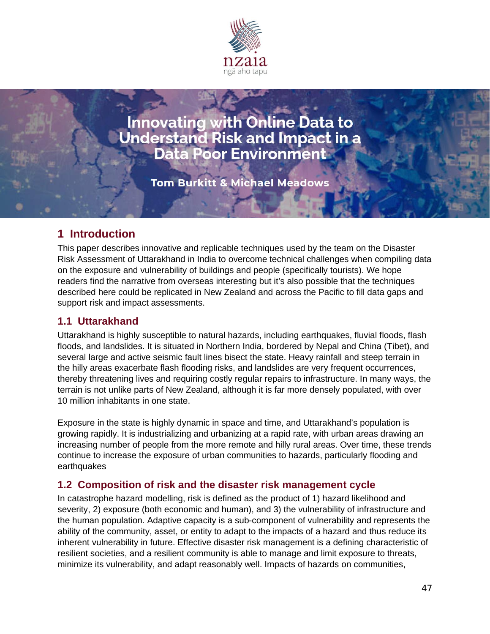

**Innovating with Online Data to<br>Understand Risk and Impact in a<br>Data Poor Environment** 

**Tom Burkitt & Michael Meadows** 

## **1 Introduction**

This paper describes innovative and replicable techniques used by the team on the Disaster Risk Assessment of Uttarakhand in India to overcome technical challenges when compiling data on the exposure and vulnerability of buildings and people (specifically tourists). We hope readers find the narrative from overseas interesting but it's also possible that the techniques described here could be replicated in New Zealand and across the Pacific to fill data gaps and support risk and impact assessments.

### **1.1 Uttarakhand**

Uttarakhand is highly susceptible to natural hazards, including earthquakes, fluvial floods, flash floods, and landslides. It is situated in Northern India, bordered by Nepal and China (Tibet), and several large and active seismic fault lines bisect the state. Heavy rainfall and steep terrain in the hilly areas exacerbate flash flooding risks, and landslides are very frequent occurrences, thereby threatening lives and requiring costly regular repairs to infrastructure. In many ways, the terrain is not unlike parts of New Zealand, although it is far more densely populated, with over 10 million inhabitants in one state.

Exposure in the state is highly dynamic in space and time, and Uttarakhand's population is growing rapidly. It is industrializing and urbanizing at a rapid rate, with urban areas drawing an increasing number of people from the more remote and hilly rural areas. Over time, these trends continue to increase the exposure of urban communities to hazards, particularly flooding and earthquakes

#### **1.2 Composition of risk and the disaster risk management cycle**

In catastrophe hazard modelling, risk is defined as the product of 1) hazard likelihood and severity, 2) exposure (both economic and human), and 3) the vulnerability of infrastructure and the human population. Adaptive capacity is a sub-component of vulnerability and represents the ability of the community, asset, or entity to adapt to the impacts of a hazard and thus reduce its inherent vulnerability in future. Effective disaster risk management is a defining characteristic of resilient societies, and a resilient community is able to manage and limit exposure to threats, minimize its vulnerability, and adapt reasonably well. Impacts of hazards on communities,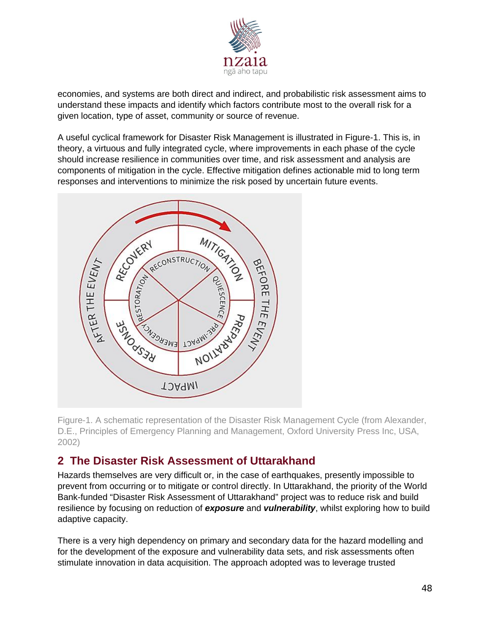

economies, and systems are both direct and indirect, and probabilistic risk assessment aims to understand these impacts and identify which factors contribute most to the overall risk for a given location, type of asset, community or source of revenue.

A useful cyclical framework for Disaster Risk Management is illustrated in Figure-1. This is, in theory, a virtuous and fully integrated cycle, where improvements in each phase of the cycle should increase resilience in communities over time, and risk assessment and analysis are components of mitigation in the cycle. Effective mitigation defines actionable mid to long term responses and interventions to minimize the risk posed by uncertain future events.



Figure-1. A schematic representation of the Disaster Risk Management Cycle (from Alexander, D.E., Principles of Emergency Planning and Management, Oxford University Press Inc, USA, 2002)

## **2 The Disaster Risk Assessment of Uttarakhand**

Hazards themselves are very difficult or, in the case of earthquakes, presently impossible to prevent from occurring or to mitigate or control directly. In Uttarakhand, the priority of the World Bank-funded "Disaster Risk Assessment of Uttarakhand" project was to reduce risk and build resilience by focusing on reduction of *exposure* and *vulnerability*, whilst exploring how to build adaptive capacity.

There is a very high dependency on primary and secondary data for the hazard modelling and for the development of the exposure and vulnerability data sets, and risk assessments often stimulate innovation in data acquisition. The approach adopted was to leverage trusted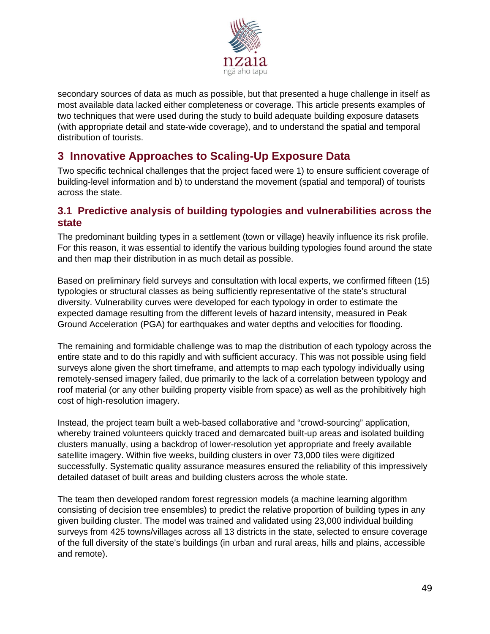

secondary sources of data as much as possible, but that presented a huge challenge in itself as most available data lacked either completeness or coverage. This article presents examples of two techniques that were used during the study to build adequate building exposure datasets (with appropriate detail and state-wide coverage), and to understand the spatial and temporal distribution of tourists.

# **3 Innovative Approaches to Scaling-Up Exposure Data**

Two specific technical challenges that the project faced were 1) to ensure sufficient coverage of building-level information and b) to understand the movement (spatial and temporal) of tourists across the state.

### **3.1 Predictive analysis of building typologies and vulnerabilities across the state**

The predominant building types in a settlement (town or village) heavily influence its risk profile. For this reason, it was essential to identify the various building typologies found around the state and then map their distribution in as much detail as possible.

Based on preliminary field surveys and consultation with local experts, we confirmed fifteen (15) typologies or structural classes as being sufficiently representative of the state's structural diversity. Vulnerability curves were developed for each typology in order to estimate the expected damage resulting from the different levels of hazard intensity, measured in Peak Ground Acceleration (PGA) for earthquakes and water depths and velocities for flooding.

The remaining and formidable challenge was to map the distribution of each typology across the entire state and to do this rapidly and with sufficient accuracy. This was not possible using field surveys alone given the short timeframe, and attempts to map each typology individually using remotely-sensed imagery failed, due primarily to the lack of a correlation between typology and roof material (or any other building property visible from space) as well as the prohibitively high cost of high-resolution imagery.

Instead, the project team built a web-based collaborative and "crowd-sourcing" application, whereby trained volunteers quickly traced and demarcated built-up areas and isolated building clusters manually, using a backdrop of lower-resolution yet appropriate and freely available satellite imagery. Within five weeks, building clusters in over 73,000 tiles were digitized successfully. Systematic quality assurance measures ensured the reliability of this impressively detailed dataset of built areas and building clusters across the whole state.

The team then developed random forest regression models (a machine learning algorithm consisting of decision tree ensembles) to predict the relative proportion of building types in any given building cluster. The model was trained and validated using 23,000 individual building surveys from 425 towns/villages across all 13 districts in the state, selected to ensure coverage of the full diversity of the state's buildings (in urban and rural areas, hills and plains, accessible and remote).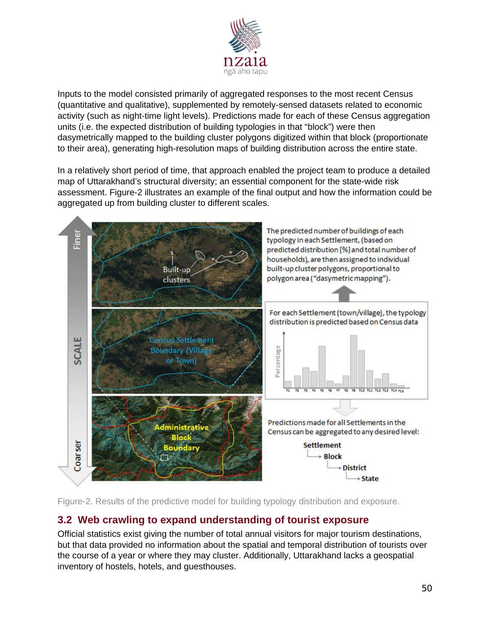

Inputs to the model consisted primarily of aggregated responses to the most recent Census (quantitative and qualitative), supplemented by remotely-sensed datasets related to economic activity (such as night-time light levels). Predictions made for each of these Census aggregation units (i.e. the expected distribution of building typologies in that "block") were then dasymetrically mapped to the building cluster polygons digitized within that block (proportionate to their area), generating high-resolution maps of building distribution across the entire state.

In a relatively short period of time, that approach enabled the project team to produce a detailed map of Uttarakhand's structural diversity; an essential component for the state-wide risk assessment. Figure-2 illustrates an example of the final output and how the information could be aggregated up from building cluster to different scales.



Figure-2. Results of the predictive model for building typology distribution and exposure.

## **3.2 Web crawling to expand understanding of tourist exposure**

Official statistics exist giving the number of total annual visitors for major tourism destinations, but that data provided no information about the spatial and temporal distribution of tourists over the course of a year or where they may cluster. Additionally, Uttarakhand lacks a geospatial inventory of hostels, hotels, and guesthouses.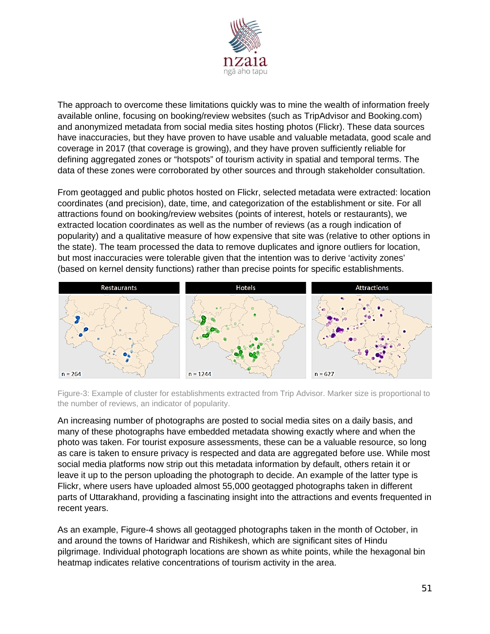

The approach to overcome these limitations quickly was to mine the wealth of information freely available online, focusing on booking/review websites (such as TripAdvisor and Booking.com) and anonymized metadata from social media sites hosting photos (Flickr). These data sources have inaccuracies, but they have proven to have usable and valuable metadata, good scale and coverage in 2017 (that coverage is growing), and they have proven sufficiently reliable for defining aggregated zones or "hotspots" of tourism activity in spatial and temporal terms. The data of these zones were corroborated by other sources and through stakeholder consultation.

From geotagged and public photos hosted on Flickr, selected metadata were extracted: location coordinates (and precision), date, time, and categorization of the establishment or site. For all attractions found on booking/review websites (points of interest, hotels or restaurants), we extracted location coordinates as well as the number of reviews (as a rough indication of popularity) and a qualitative measure of how expensive that site was (relative to other options in the state). The team processed the data to remove duplicates and ignore outliers for location, but most inaccuracies were tolerable given that the intention was to derive 'activity zones' (based on kernel density functions) rather than precise points for specific establishments.



Figure-3: Example of cluster for establishments extracted from Trip Advisor. Marker size is proportional to the number of reviews, an indicator of popularity.

An increasing number of photographs are posted to social media sites on a daily basis, and many of these photographs have embedded metadata showing exactly where and when the photo was taken. For tourist exposure assessments, these can be a valuable resource, so long as care is taken to ensure privacy is respected and data are aggregated before use. While most social media platforms now strip out this metadata information by default, others retain it or leave it up to the person uploading the photograph to decide. An example of the latter type is Flickr, where users have uploaded almost 55,000 geotagged photographs taken in different parts of Uttarakhand, providing a fascinating insight into the attractions and events frequented in recent years.

As an example, Figure-4 shows all geotagged photographs taken in the month of October, in and around the towns of Haridwar and Rishikesh, which are significant sites of Hindu pilgrimage. Individual photograph locations are shown as white points, while the hexagonal bin heatmap indicates relative concentrations of tourism activity in the area.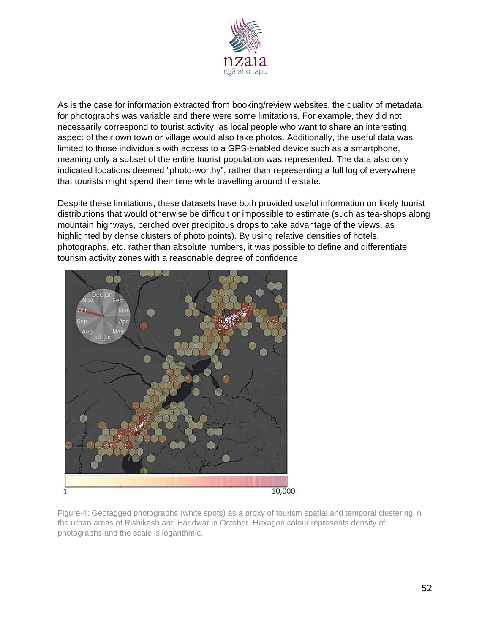

As is the case for information extracted from booking/review websites, the quality of metadata for photographs was variable and there were some limitations. For example, they did not necessarily correspond to tourist activity, as local people who want to share an interesting aspect of their own town or village would also take photos. Additionally, the useful data was limited to those individuals with access to a GPS-enabled device such as a smartphone, meaning only a subset of the entire tourist population was represented. The data also only indicated locations deemed "photo-worthy", rather than representing a full log of everywhere that tourists might spend their time while travelling around the state.

Despite these limitations, these datasets have both provided useful information on likely tourist distributions that would otherwise be difficult or impossible to estimate (such as tea-shops along mountain highways, perched over precipitous drops to take advantage of the views, as highlighted by dense clusters of photo points). By using relative densities of hotels, photographs, etc. rather than absolute numbers, it was possible to define and differentiate tourism activity zones with a reasonable degree of confidence.



Figure-4: Geotagged photographs (white spots) as a proxy of tourism spatial and temporal clustering in the urban areas of Rishikesh and Haridwar in October. Hexagon colour represents density of photographs and the scale is logarithmic.